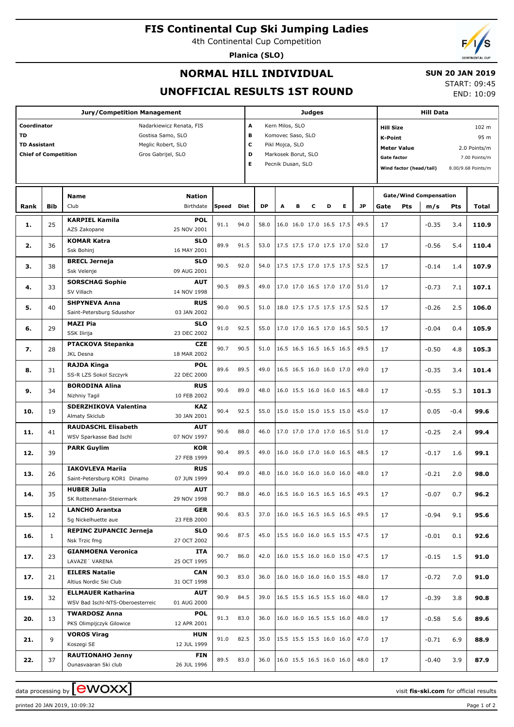## **FIS Continental Cup Ski Jumping Ladies**

4th Continental Cup Competition

**Planica (SLO)**



## **NORMAL HILL INDIVIDUAL**

#### **SUN 20 JAN 2019**

### **UNOFFICIAL RESULTS 1ST ROUND**

START: 09:45 END: 10:09

|                                                                                                                                                                      |                                                                                                                                        | <b>Jury/Competition Management</b>                            |                            |              |      |                       | Judges                                                                                              |   | <b>Hill Data</b> |                               |                                                                                                                                                                            |                                                     |         |            |       |
|----------------------------------------------------------------------------------------------------------------------------------------------------------------------|----------------------------------------------------------------------------------------------------------------------------------------|---------------------------------------------------------------|----------------------------|--------------|------|-----------------------|-----------------------------------------------------------------------------------------------------|---|------------------|-------------------------------|----------------------------------------------------------------------------------------------------------------------------------------------------------------------------|-----------------------------------------------------|---------|------------|-------|
| Coordinator<br>Nadarkiewicz Renata, FIS<br>TD<br>Gostisa Samo, SLO<br><b>TD Assistant</b><br>Meglic Robert, SLO<br><b>Chief of Competition</b><br>Gros Gabrijel, SLO |                                                                                                                                        |                                                               |                            |              |      | A<br>в<br>c<br>D<br>Е | Kern Milos, SLO<br>Komovec Saso, SLO<br>Pikl Mojca, SLO<br>Markosek Borut, SLO<br>Pecnik Dusan, SLO |   |                  |                               | 102 m<br><b>Hill Size</b><br>95 m<br>K-Point<br><b>Meter Value</b><br>2.0 Points/m<br><b>Gate factor</b><br>7.00 Points/m<br>Wind factor (head/tail)<br>8.00/9.68 Points/m |                                                     |         |            |       |
|                                                                                                                                                                      |                                                                                                                                        | <b>Name</b><br>Club                                           | <b>Nation</b><br>Birthdate | <b>Speed</b> | Dist | <b>DP</b>             | A                                                                                                   | в | с                | Е<br>D                        | <b>JP</b>                                                                                                                                                                  | <b>Gate/Wind Compensation</b><br>Gate<br><b>Pts</b> |         | <b>Pts</b> | Total |
|                                                                                                                                                                      |                                                                                                                                        |                                                               |                            |              |      |                       |                                                                                                     |   |                  |                               |                                                                                                                                                                            |                                                     | m/s     |            |       |
| 1.                                                                                                                                                                   | 25                                                                                                                                     | <b>KARPIEL Kamila</b><br>AZS Zakopane                         | <b>POL</b><br>25 NOV 2001  | 91.1         | 94.0 | 58.0                  |                                                                                                     |   |                  | 16.0 16.0 17.0 16.5 17.5      | 49.5                                                                                                                                                                       | 17                                                  | $-0.35$ | 3.4        | 110.9 |
| 2.                                                                                                                                                                   | 36                                                                                                                                     | <b>KOMAR Katra</b><br>Ssk Bohinj                              | <b>SLO</b><br>16 MAY 2001  | 89.9         | 91.5 | 53.0                  |                                                                                                     |   |                  | 17.5 17.5 17.0 17.5 17.0      | 52.0                                                                                                                                                                       | 17                                                  | $-0.56$ | 5.4        | 110.4 |
|                                                                                                                                                                      |                                                                                                                                        | <b>BRECL Jerneja</b>                                          | <b>SLO</b>                 |              |      |                       |                                                                                                     |   |                  |                               |                                                                                                                                                                            |                                                     |         |            |       |
|                                                                                                                                                                      |                                                                                                                                        | Ssk Velenje                                                   | 09 AUG 2001                | 90.5         | 92.0 | 54.0                  |                                                                                                     |   |                  | 17.5 17.5 17.0 17.5 17.5      | 52.5                                                                                                                                                                       | 17                                                  | $-0.14$ | 1.4        | 107.9 |
| 4.                                                                                                                                                                   | 33                                                                                                                                     | <b>SORSCHAG Sophie</b><br>SV Villach                          | <b>AUT</b><br>14 NOV 1998  | 90.5         | 89.5 | 49.0                  |                                                                                                     |   |                  | 17.0 17.0 16.5 17.0 17.0      | 51.0                                                                                                                                                                       | 17                                                  | $-0.73$ | 7.1        | 107.1 |
|                                                                                                                                                                      | <b>Bib</b><br>Rank<br>38<br>з.<br>40<br>5.<br>29<br>6.<br>28<br>7.<br>8.<br>31<br>34<br>9.<br>19<br>41<br>11.<br>39<br>26<br>13.<br>35 | <b>SHPYNEVA Anna</b>                                          | <b>RUS</b>                 |              |      |                       |                                                                                                     |   |                  |                               |                                                                                                                                                                            |                                                     |         |            |       |
|                                                                                                                                                                      |                                                                                                                                        | Saint-Petersburg Sdusshor                                     | 03 JAN 2002                | 90.0         | 90.5 | 51.0                  |                                                                                                     |   |                  | 18.0 17.5 17.5 17.5 17.5      | 52.5                                                                                                                                                                       | 17                                                  | $-0.26$ | 2.5        | 106.0 |
|                                                                                                                                                                      |                                                                                                                                        | <b>MAZI Pia</b><br>SSK Ilirija                                | <b>SLO</b><br>23 DEC 2002  | 91.0         | 92.5 | 55.0                  |                                                                                                     |   |                  | 17.0 17.0 16.5 17.0 16.5      | 50.5                                                                                                                                                                       | 17                                                  | $-0.04$ | 0.4        | 105.9 |
|                                                                                                                                                                      |                                                                                                                                        | <b>PTACKOVA Stepanka</b><br>JKL Desna                         | <b>CZE</b><br>18 MAR 2002  | 90.7         | 90.5 | 51.0                  |                                                                                                     |   |                  | 16.5 16.5 16.5 16.5 16.5      | 49.5                                                                                                                                                                       | 17                                                  | $-0.50$ | 4.8        | 105.3 |
|                                                                                                                                                                      |                                                                                                                                        | <b>RAJDA Kinga</b>                                            | POL                        | 89.6         | 89.5 | 49.0                  |                                                                                                     |   |                  | 16.5 16.5 16.0 16.0 17.0      | 49.0                                                                                                                                                                       | 17                                                  | $-0.35$ | 3.4        | 101.4 |
|                                                                                                                                                                      |                                                                                                                                        | SS-R LZS Sokol Szczyrk                                        | 22 DEC 2000                |              |      |                       |                                                                                                     |   |                  |                               |                                                                                                                                                                            |                                                     |         |            |       |
|                                                                                                                                                                      |                                                                                                                                        | <b>BORODINA Alina</b><br>Nizhniy Tagil                        | <b>RUS</b><br>10 FEB 2002  | 90.6         | 89.0 | 48.0                  |                                                                                                     |   |                  | 16.0 15.5 16.0 16.0 16.5      | 48.0                                                                                                                                                                       | 17                                                  | $-0.55$ | 5.3        | 101.3 |
|                                                                                                                                                                      |                                                                                                                                        | <b>SDERZHIKOVA Valentina</b>                                  | KAZ                        |              |      |                       |                                                                                                     |   |                  |                               |                                                                                                                                                                            |                                                     |         |            |       |
| 10.                                                                                                                                                                  |                                                                                                                                        | Almaty Skiclub                                                | 30 JAN 2001                | 90.4         | 92.5 | 55.0                  |                                                                                                     |   |                  | 15.0 15.0 15.0 15.5 15.0      | 45.0                                                                                                                                                                       | 17                                                  | 0.05    | $-0.4$     | 99.6  |
|                                                                                                                                                                      |                                                                                                                                        | <b>RAUDASCHL Elisabeth</b>                                    | <b>AUT</b>                 |              |      |                       |                                                                                                     |   |                  |                               |                                                                                                                                                                            |                                                     |         |            |       |
|                                                                                                                                                                      |                                                                                                                                        | WSV Sparkasse Bad Ischl                                       | 07 NOV 1997                | 90.6         | 88.0 | 46.0                  |                                                                                                     |   |                  | 17.0 17.0 17.0 17.0 16.5      | 51.0                                                                                                                                                                       | 17                                                  | $-0.25$ | 2.4        | 99.4  |
| 12.                                                                                                                                                                  |                                                                                                                                        | <b>PARK Guylim</b>                                            | KOR<br>27 FEB 1999         | 90.4         | 89.5 | 49.0                  |                                                                                                     |   |                  | 16.0 16.0 17.0 16.0 16.5      | 48.5                                                                                                                                                                       | 17                                                  | $-0.17$ | 1.6        | 99.1  |
|                                                                                                                                                                      |                                                                                                                                        | <b>IAKOVLEVA Mariia</b>                                       | <b>RUS</b>                 |              |      |                       |                                                                                                     |   |                  |                               |                                                                                                                                                                            |                                                     |         |            |       |
|                                                                                                                                                                      |                                                                                                                                        | Saint-Petersburg KOR1 Dinamo                                  | 07 JUN 1999                | 90.4         | 89.0 | 48.0                  |                                                                                                     |   |                  | 16.0 16.0 16.0 16.0 16.0      | 48.0                                                                                                                                                                       | 17                                                  | $-0.21$ | 2.0        | 98.0  |
| 14.                                                                                                                                                                  |                                                                                                                                        | <b>HUBER Julia</b><br>SK Rottenmann-Steiermark                | <b>AUT</b><br>29 NOV 1998  | 90.7 88.0    |      | 46.0                  |                                                                                                     |   |                  | 16.5 16.0 16.5 16.5 16.5 49.5 |                                                                                                                                                                            | 17                                                  | $-0.07$ | 0.7        | 96.2  |
| 15.                                                                                                                                                                  | 12                                                                                                                                     | <b>LANCHO Arantxa</b><br>Sg Nickelhuette aue                  | <b>GER</b><br>23 FEB 2000  | 90.6         | 83.5 | 37.0                  |                                                                                                     |   |                  | 16.0 16.5 16.5 16.5 16.5 49.5 |                                                                                                                                                                            | 17                                                  | $-0.94$ | 9.1        | 95.6  |
| 16.                                                                                                                                                                  | $\mathbf{1}$                                                                                                                           | <b>REPINC ZUPANCIC Jerneja</b>                                | <b>SLO</b>                 | 90.6         | 87.5 | 45.0                  |                                                                                                     |   |                  | 15.5 16.0 16.0 16.5 15.5      | 47.5                                                                                                                                                                       | 17                                                  | $-0.01$ | 0.1        | 92.6  |
| 17.                                                                                                                                                                  | 23                                                                                                                                     | Nsk Trzic fmg<br><b>GIANMOENA Veronica</b>                    | 27 OCT 2002<br>ITA         | 90.7         | 86.0 | 42.0                  |                                                                                                     |   |                  | 16.0 15.5 16.0 16.0 15.0      | 47.5                                                                                                                                                                       | 17                                                  | $-0.15$ | 1.5        | 91.0  |
|                                                                                                                                                                      |                                                                                                                                        | LAVAZE' VARENA                                                | 25 OCT 1995                |              |      |                       |                                                                                                     |   |                  |                               |                                                                                                                                                                            |                                                     |         |            |       |
| 17.                                                                                                                                                                  | 21                                                                                                                                     | <b>EILERS Natalie</b><br>Altius Nordic Ski Club               | CAN<br>31 OCT 1998         | 90.3         | 83.0 | 36.0                  |                                                                                                     |   |                  | 16.0 16.0 16.0 16.0 15.5      | 48.0                                                                                                                                                                       | 17                                                  | $-0.72$ | 7.0        | 91.0  |
| 19.                                                                                                                                                                  | 32                                                                                                                                     | <b>ELLMAUER Katharina</b><br>WSV Bad Ischl-NTS-Oberoesterreic | AUT<br>01 AUG 2000         | 90.9         | 84.5 | 39.0                  |                                                                                                     |   |                  | 16.5 15.5 16.5 15.5 16.0      | 48.0                                                                                                                                                                       | 17                                                  | $-0.39$ | 3.8        | 90.8  |
| 20.                                                                                                                                                                  | 13                                                                                                                                     | <b>TWARDOSZ Anna</b><br>PKS Olimpijczyk Gilowice              | <b>POL</b><br>12 APR 2001  | 91.3         | 83.0 | 36.0                  |                                                                                                     |   |                  | 16.0 16.0 16.5 15.5 16.0      | 48.0                                                                                                                                                                       | 17                                                  | $-0.58$ | 5.6        | 89.6  |
|                                                                                                                                                                      |                                                                                                                                        | <b>VOROS Virag</b>                                            | HUN                        |              |      |                       |                                                                                                     |   |                  |                               |                                                                                                                                                                            |                                                     |         |            |       |
| 21.                                                                                                                                                                  | 9                                                                                                                                      | Koszegi SE                                                    | 12 JUL 1999                | 91.0         | 82.5 | 35.0                  |                                                                                                     |   |                  | 15.5 15.5 15.5 16.0 16.0      | 47.0                                                                                                                                                                       | 17                                                  | $-0.71$ | 6.9        | 88.9  |
| 22.                                                                                                                                                                  | 37                                                                                                                                     | <b>RAUTIONAHO Jenny</b><br>Ounasvaaran Ski club               | FIN<br>26 JUL 1996         | 89.5         | 83.0 | 36.0                  |                                                                                                     |   |                  | 16.0 15.5 16.5 16.0 16.0      | 48.0                                                                                                                                                                       | 17                                                  | $-0.40$ | 3.9        | 87.9  |

data processing by **CWOXX**  $\blacksquare$